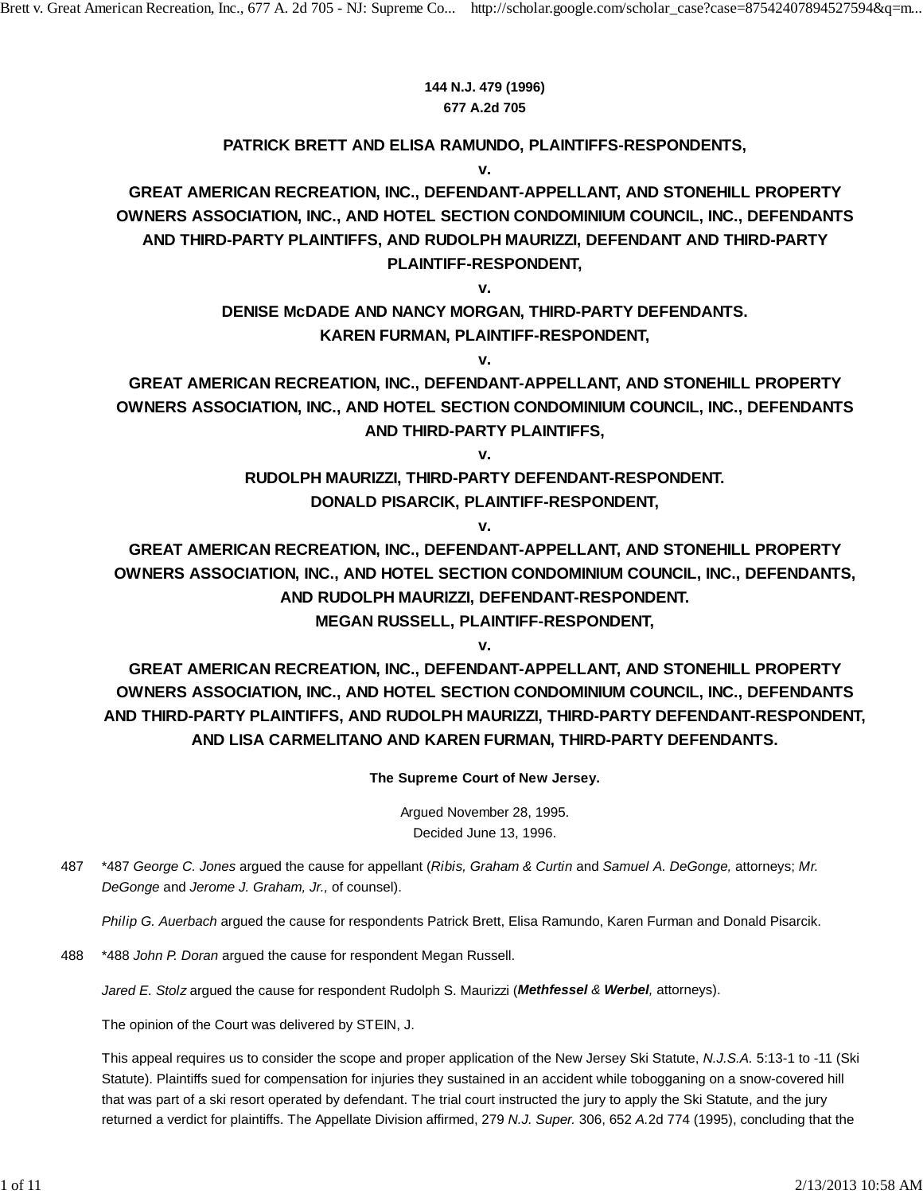### **144 N.J. 479 (1996) 677 A.2d 705**

### **PATRICK BRETT AND ELISA RAMUNDO, PLAINTIFFS-RESPONDENTS, v.**

**GREAT AMERICAN RECREATION, INC., DEFENDANT-APPELLANT, AND STONEHILL PROPERTY OWNERS ASSOCIATION, INC., AND HOTEL SECTION CONDOMINIUM COUNCIL, INC., DEFENDANTS AND THIRD-PARTY PLAINTIFFS, AND RUDOLPH MAURIZZI, DEFENDANT AND THIRD-PARTY PLAINTIFF-RESPONDENT,**

**v.**

## **DENISE McDADE AND NANCY MORGAN, THIRD-PARTY DEFENDANTS. KAREN FURMAN, PLAINTIFF-RESPONDENT,**

**v.**

**GREAT AMERICAN RECREATION, INC., DEFENDANT-APPELLANT, AND STONEHILL PROPERTY OWNERS ASSOCIATION, INC., AND HOTEL SECTION CONDOMINIUM COUNCIL, INC., DEFENDANTS AND THIRD-PARTY PLAINTIFFS,**

**v.**

### **RUDOLPH MAURIZZI, THIRD-PARTY DEFENDANT-RESPONDENT. DONALD PISARCIK, PLAINTIFF-RESPONDENT,**

**v.**

**GREAT AMERICAN RECREATION, INC., DEFENDANT-APPELLANT, AND STONEHILL PROPERTY OWNERS ASSOCIATION, INC., AND HOTEL SECTION CONDOMINIUM COUNCIL, INC., DEFENDANTS, AND RUDOLPH MAURIZZI, DEFENDANT-RESPONDENT.**

**MEGAN RUSSELL, PLAINTIFF-RESPONDENT, v.**

**GREAT AMERICAN RECREATION, INC., DEFENDANT-APPELLANT, AND STONEHILL PROPERTY OWNERS ASSOCIATION, INC., AND HOTEL SECTION CONDOMINIUM COUNCIL, INC., DEFENDANTS AND THIRD-PARTY PLAINTIFFS, AND RUDOLPH MAURIZZI, THIRD-PARTY DEFENDANT-RESPONDENT, AND LISA CARMELITANO AND KAREN FURMAN, THIRD-PARTY DEFENDANTS.**

**The Supreme Court of New Jersey.**

Argued November 28, 1995. Decided June 13, 1996.

\*487 *George C. Jones* argued the cause for appellant (*Ribis, Graham & Curtin* and *Samuel A. DeGonge,* attorneys; *Mr.* 487 *DeGonge* and *Jerome J. Graham, Jr.,* of counsel).

*Philip G. Auerbach* argued the cause for respondents Patrick Brett, Elisa Ramundo, Karen Furman and Donald Pisarcik.

488 \*488 *John P. Doran* argued the cause for respondent Megan Russell.

*Jared E. Stolz* argued the cause for respondent Rudolph S. Maurizzi (*Methfessel & Werbel,* attorneys).

The opinion of the Court was delivered by STEIN, J.

This appeal requires us to consider the scope and proper application of the New Jersey Ski Statute, *N.J.S.A.* 5:13-1 to -11 (Ski Statute). Plaintiffs sued for compensation for injuries they sustained in an accident while tobogganing on a snow-covered hill that was part of a ski resort operated by defendant. The trial court instructed the jury to apply the Ski Statute, and the jury returned a verdict for plaintiffs. The Appellate Division affirmed, 279 *N.J. Super.* 306, 652 *A.*2d 774 (1995), concluding that the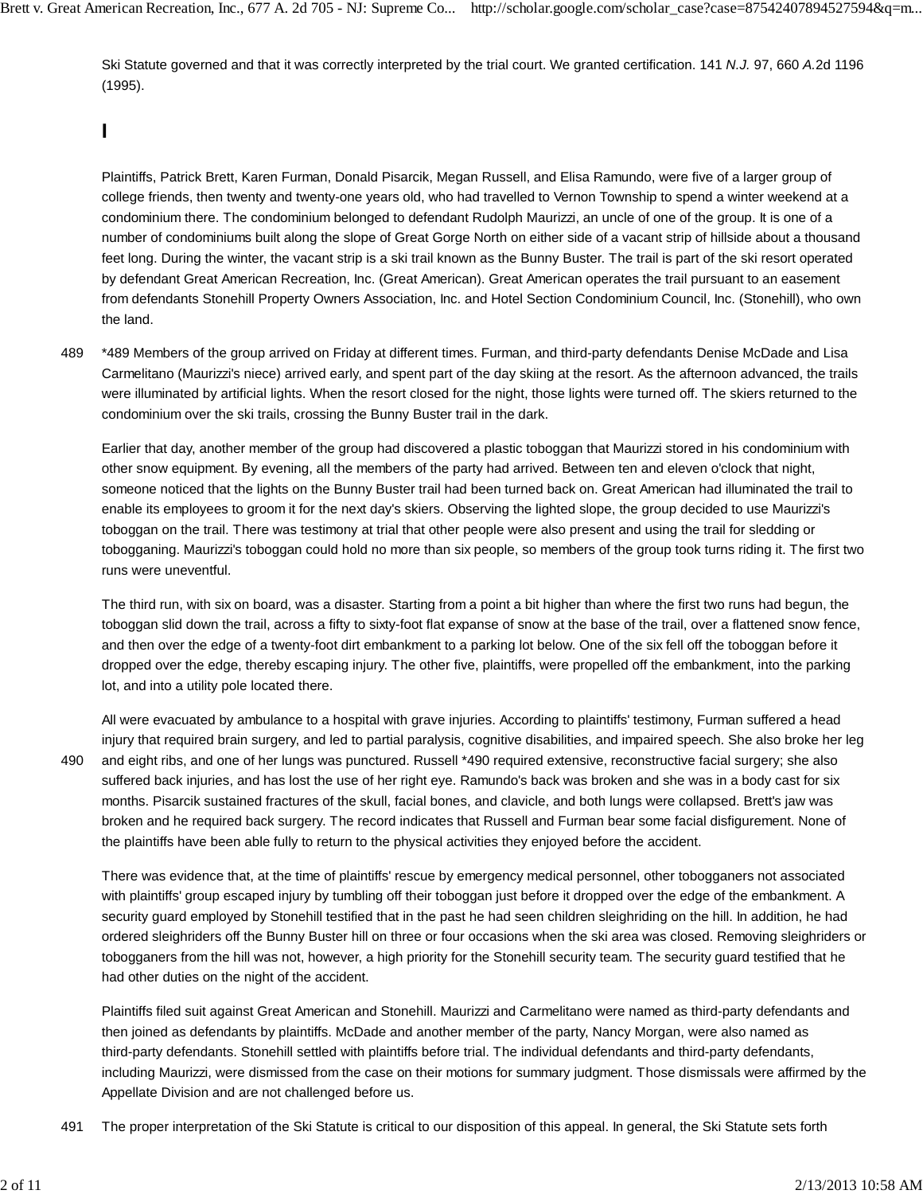Ski Statute governed and that it was correctly interpreted by the trial court. We granted certification. 141 *N.J.* 97, 660 *A.*2d 1196 (1995).

## **I**

Plaintiffs, Patrick Brett, Karen Furman, Donald Pisarcik, Megan Russell, and Elisa Ramundo, were five of a larger group of college friends, then twenty and twenty-one years old, who had travelled to Vernon Township to spend a winter weekend at a condominium there. The condominium belonged to defendant Rudolph Maurizzi, an uncle of one of the group. It is one of a number of condominiums built along the slope of Great Gorge North on either side of a vacant strip of hillside about a thousand feet long. During the winter, the vacant strip is a ski trail known as the Bunny Buster. The trail is part of the ski resort operated by defendant Great American Recreation, Inc. (Great American). Great American operates the trail pursuant to an easement from defendants Stonehill Property Owners Association, Inc. and Hotel Section Condominium Council, Inc. (Stonehill), who own the land.

\*489 Members of the group arrived on Friday at different times. Furman, and third-party defendants Denise McDade and Lisa Carmelitano (Maurizzi's niece) arrived early, and spent part of the day skiing at the resort. As the afternoon advanced, the trails were illuminated by artificial lights. When the resort closed for the night, those lights were turned off. The skiers returned to the condominium over the ski trails, crossing the Bunny Buster trail in the dark. 489

Earlier that day, another member of the group had discovered a plastic toboggan that Maurizzi stored in his condominium with other snow equipment. By evening, all the members of the party had arrived. Between ten and eleven o'clock that night, someone noticed that the lights on the Bunny Buster trail had been turned back on. Great American had illuminated the trail to enable its employees to groom it for the next day's skiers. Observing the lighted slope, the group decided to use Maurizzi's toboggan on the trail. There was testimony at trial that other people were also present and using the trail for sledding or tobogganing. Maurizzi's toboggan could hold no more than six people, so members of the group took turns riding it. The first two runs were uneventful.

The third run, with six on board, was a disaster. Starting from a point a bit higher than where the first two runs had begun, the toboggan slid down the trail, across a fifty to sixty-foot flat expanse of snow at the base of the trail, over a flattened snow fence, and then over the edge of a twenty-foot dirt embankment to a parking lot below. One of the six fell off the toboggan before it dropped over the edge, thereby escaping injury. The other five, plaintiffs, were propelled off the embankment, into the parking lot, and into a utility pole located there.

490

All were evacuated by ambulance to a hospital with grave injuries. According to plaintiffs' testimony, Furman suffered a head injury that required brain surgery, and led to partial paralysis, cognitive disabilities, and impaired speech. She also broke her leg and eight ribs, and one of her lungs was punctured. Russell \*490 required extensive, reconstructive facial surgery; she also suffered back injuries, and has lost the use of her right eye. Ramundo's back was broken and she was in a body cast for six months. Pisarcik sustained fractures of the skull, facial bones, and clavicle, and both lungs were collapsed. Brett's jaw was broken and he required back surgery. The record indicates that Russell and Furman bear some facial disfigurement. None of the plaintiffs have been able fully to return to the physical activities they enjoyed before the accident.

There was evidence that, at the time of plaintiffs' rescue by emergency medical personnel, other tobogganers not associated with plaintiffs' group escaped injury by tumbling off their toboggan just before it dropped over the edge of the embankment. A security guard employed by Stonehill testified that in the past he had seen children sleighriding on the hill. In addition, he had ordered sleighriders off the Bunny Buster hill on three or four occasions when the ski area was closed. Removing sleighriders or tobogganers from the hill was not, however, a high priority for the Stonehill security team. The security guard testified that he had other duties on the night of the accident.

Plaintiffs filed suit against Great American and Stonehill. Maurizzi and Carmelitano were named as third-party defendants and then joined as defendants by plaintiffs. McDade and another member of the party, Nancy Morgan, were also named as third-party defendants. Stonehill settled with plaintiffs before trial. The individual defendants and third-party defendants, including Maurizzi, were dismissed from the case on their motions for summary judgment. Those dismissals were affirmed by the Appellate Division and are not challenged before us.

491 The proper interpretation of the Ski Statute is critical to our disposition of this appeal. In general, the Ski Statute sets forth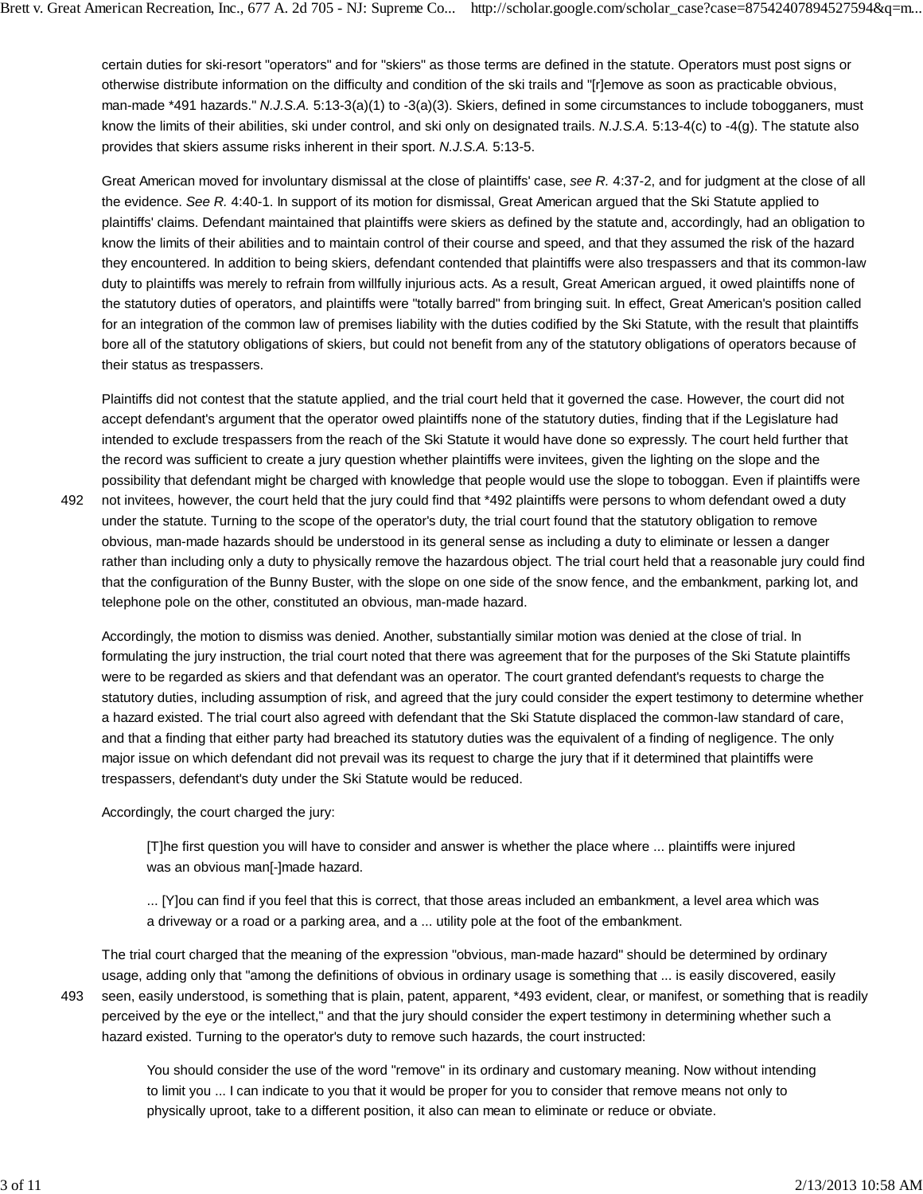certain duties for ski-resort "operators" and for "skiers" as those terms are defined in the statute. Operators must post signs or otherwise distribute information on the difficulty and condition of the ski trails and "[r]emove as soon as practicable obvious, man-made \*491 hazards." *N.J.S.A.* 5:13-3(a)(1) to -3(a)(3). Skiers, defined in some circumstances to include tobogganers, must know the limits of their abilities, ski under control, and ski only on designated trails. *N.J.S.A.* 5:13-4(c) to -4(g). The statute also provides that skiers assume risks inherent in their sport. *N.J.S.A.* 5:13-5.

Great American moved for involuntary dismissal at the close of plaintiffs' case, *see R.* 4:37-2, and for judgment at the close of all the evidence. *See R.* 4:40-1. In support of its motion for dismissal, Great American argued that the Ski Statute applied to plaintiffs' claims. Defendant maintained that plaintiffs were skiers as defined by the statute and, accordingly, had an obligation to know the limits of their abilities and to maintain control of their course and speed, and that they assumed the risk of the hazard they encountered. In addition to being skiers, defendant contended that plaintiffs were also trespassers and that its common-law duty to plaintiffs was merely to refrain from willfully injurious acts. As a result, Great American argued, it owed plaintiffs none of the statutory duties of operators, and plaintiffs were "totally barred" from bringing suit. In effect, Great American's position called for an integration of the common law of premises liability with the duties codified by the Ski Statute, with the result that plaintiffs bore all of the statutory obligations of skiers, but could not benefit from any of the statutory obligations of operators because of their status as trespassers.

Plaintiffs did not contest that the statute applied, and the trial court held that it governed the case. However, the court did not accept defendant's argument that the operator owed plaintiffs none of the statutory duties, finding that if the Legislature had intended to exclude trespassers from the reach of the Ski Statute it would have done so expressly. The court held further that the record was sufficient to create a jury question whether plaintiffs were invitees, given the lighting on the slope and the possibility that defendant might be charged with knowledge that people would use the slope to toboggan. Even if plaintiffs were

not invitees, however, the court held that the jury could find that \*492 plaintiffs were persons to whom defendant owed a duty under the statute. Turning to the scope of the operator's duty, the trial court found that the statutory obligation to remove obvious, man-made hazards should be understood in its general sense as including a duty to eliminate or lessen a danger rather than including only a duty to physically remove the hazardous object. The trial court held that a reasonable jury could find that the configuration of the Bunny Buster, with the slope on one side of the snow fence, and the embankment, parking lot, and telephone pole on the other, constituted an obvious, man-made hazard. 492

Accordingly, the motion to dismiss was denied. Another, substantially similar motion was denied at the close of trial. In formulating the jury instruction, the trial court noted that there was agreement that for the purposes of the Ski Statute plaintiffs were to be regarded as skiers and that defendant was an operator. The court granted defendant's requests to charge the statutory duties, including assumption of risk, and agreed that the jury could consider the expert testimony to determine whether a hazard existed. The trial court also agreed with defendant that the Ski Statute displaced the common-law standard of care, and that a finding that either party had breached its statutory duties was the equivalent of a finding of negligence. The only major issue on which defendant did not prevail was its request to charge the jury that if it determined that plaintiffs were trespassers, defendant's duty under the Ski Statute would be reduced.

Accordingly, the court charged the jury:

[T]he first question you will have to consider and answer is whether the place where ... plaintiffs were injured was an obvious man[-]made hazard.

... [Y]ou can find if you feel that this is correct, that those areas included an embankment, a level area which was a driveway or a road or a parking area, and a ... utility pole at the foot of the embankment.

493

The trial court charged that the meaning of the expression "obvious, man-made hazard" should be determined by ordinary usage, adding only that "among the definitions of obvious in ordinary usage is something that ... is easily discovered, easily seen, easily understood, is something that is plain, patent, apparent, \*493 evident, clear, or manifest, or something that is readily perceived by the eye or the intellect," and that the jury should consider the expert testimony in determining whether such a hazard existed. Turning to the operator's duty to remove such hazards, the court instructed:

You should consider the use of the word "remove" in its ordinary and customary meaning. Now without intending to limit you ... I can indicate to you that it would be proper for you to consider that remove means not only to physically uproot, take to a different position, it also can mean to eliminate or reduce or obviate.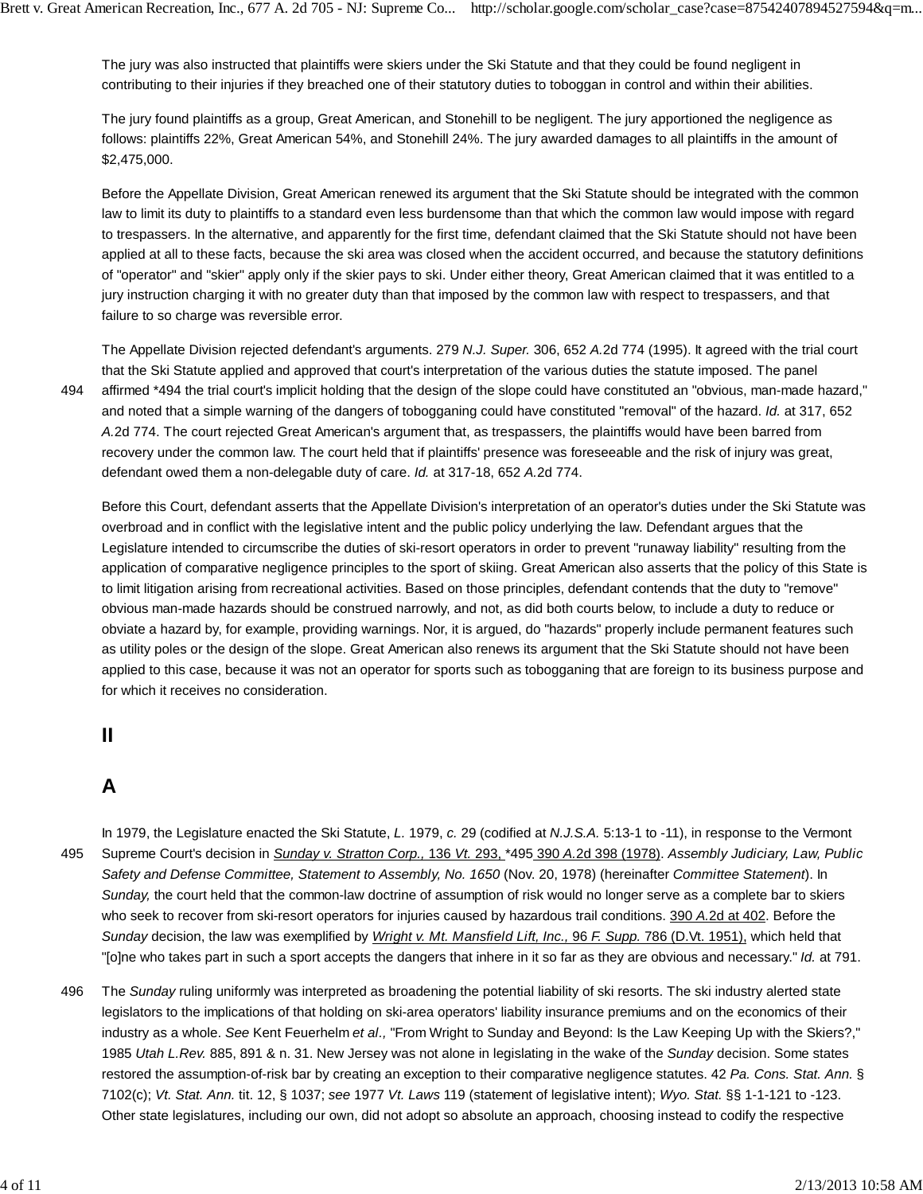The jury was also instructed that plaintiffs were skiers under the Ski Statute and that they could be found negligent in contributing to their injuries if they breached one of their statutory duties to toboggan in control and within their abilities.

The jury found plaintiffs as a group, Great American, and Stonehill to be negligent. The jury apportioned the negligence as follows: plaintiffs 22%, Great American 54%, and Stonehill 24%. The jury awarded damages to all plaintiffs in the amount of \$2,475,000.

Before the Appellate Division, Great American renewed its argument that the Ski Statute should be integrated with the common law to limit its duty to plaintiffs to a standard even less burdensome than that which the common law would impose with regard to trespassers. In the alternative, and apparently for the first time, defendant claimed that the Ski Statute should not have been applied at all to these facts, because the ski area was closed when the accident occurred, and because the statutory definitions of "operator" and "skier" apply only if the skier pays to ski. Under either theory, Great American claimed that it was entitled to a jury instruction charging it with no greater duty than that imposed by the common law with respect to trespassers, and that failure to so charge was reversible error.

494

The Appellate Division rejected defendant's arguments. 279 *N.J. Super.* 306, 652 *A.*2d 774 (1995). It agreed with the trial court that the Ski Statute applied and approved that court's interpretation of the various duties the statute imposed. The panel affirmed \*494 the trial court's implicit holding that the design of the slope could have constituted an "obvious, man-made hazard," and noted that a simple warning of the dangers of tobogganing could have constituted "removal" of the hazard. *Id.* at 317, 652 *A.*2d 774. The court rejected Great American's argument that, as trespassers, the plaintiffs would have been barred from recovery under the common law. The court held that if plaintiffs' presence was foreseeable and the risk of injury was great, defendant owed them a non-delegable duty of care. *Id.* at 317-18, 652 *A.*2d 774.

Before this Court, defendant asserts that the Appellate Division's interpretation of an operator's duties under the Ski Statute was overbroad and in conflict with the legislative intent and the public policy underlying the law. Defendant argues that the Legislature intended to circumscribe the duties of ski-resort operators in order to prevent "runaway liability" resulting from the application of comparative negligence principles to the sport of skiing. Great American also asserts that the policy of this State is to limit litigation arising from recreational activities. Based on those principles, defendant contends that the duty to "remove" obvious man-made hazards should be construed narrowly, and not, as did both courts below, to include a duty to reduce or obviate a hazard by, for example, providing warnings. Nor, it is argued, do "hazards" properly include permanent features such as utility poles or the design of the slope. Great American also renews its argument that the Ski Statute should not have been applied to this case, because it was not an operator for sports such as tobogganing that are foreign to its business purpose and for which it receives no consideration.

### **II**

# **A**

In 1979, the Legislature enacted the Ski Statute, *L.* 1979, *c.* 29 (codified at *N.J.S.A.* 5:13-1 to -11), in response to the Vermont Supreme Court's decision in *Sunday v. Stratton Corp.,* 136 *Vt.* 293, \*495 390 *A.*2d 398 (1978). *Assembly Judiciary, Law, Public Safety and Defense Committee, Statement to Assembly, No. 1650* (Nov. 20, 1978) (hereinafter *Committee Statement*). In *Sunday,* the court held that the common-law doctrine of assumption of risk would no longer serve as a complete bar to skiers who seek to recover from ski-resort operators for injuries caused by hazardous trail conditions. 390 *A.*2d at 402. Before the *Sunday* decision, the law was exemplified by *Wright v. Mt. Mansfield Lift, Inc.,* 96 *F. Supp.* 786 (D.Vt. 1951), which held that "[o]ne who takes part in such a sport accepts the dangers that inhere in it so far as they are obvious and necessary." *Id.* at 791. 495

The *Sunday* ruling uniformly was interpreted as broadening the potential liability of ski resorts. The ski industry alerted state legislators to the implications of that holding on ski-area operators' liability insurance premiums and on the economics of their industry as a whole. *See* Kent Feuerhelm *et al.,* "From Wright to Sunday and Beyond: Is the Law Keeping Up with the Skiers?," 1985 *Utah L.Rev.* 885, 891 & n. 31. New Jersey was not alone in legislating in the wake of the *Sunday* decision. Some states restored the assumption-of-risk bar by creating an exception to their comparative negligence statutes. 42 *Pa. Cons. Stat. Ann.* § 7102(c); *Vt. Stat. Ann.* tit. 12, § 1037; *see* 1977 *Vt. Laws* 119 (statement of legislative intent); *Wyo. Stat.* §§ 1-1-121 to -123. Other state legislatures, including our own, did not adopt so absolute an approach, choosing instead to codify the respective 496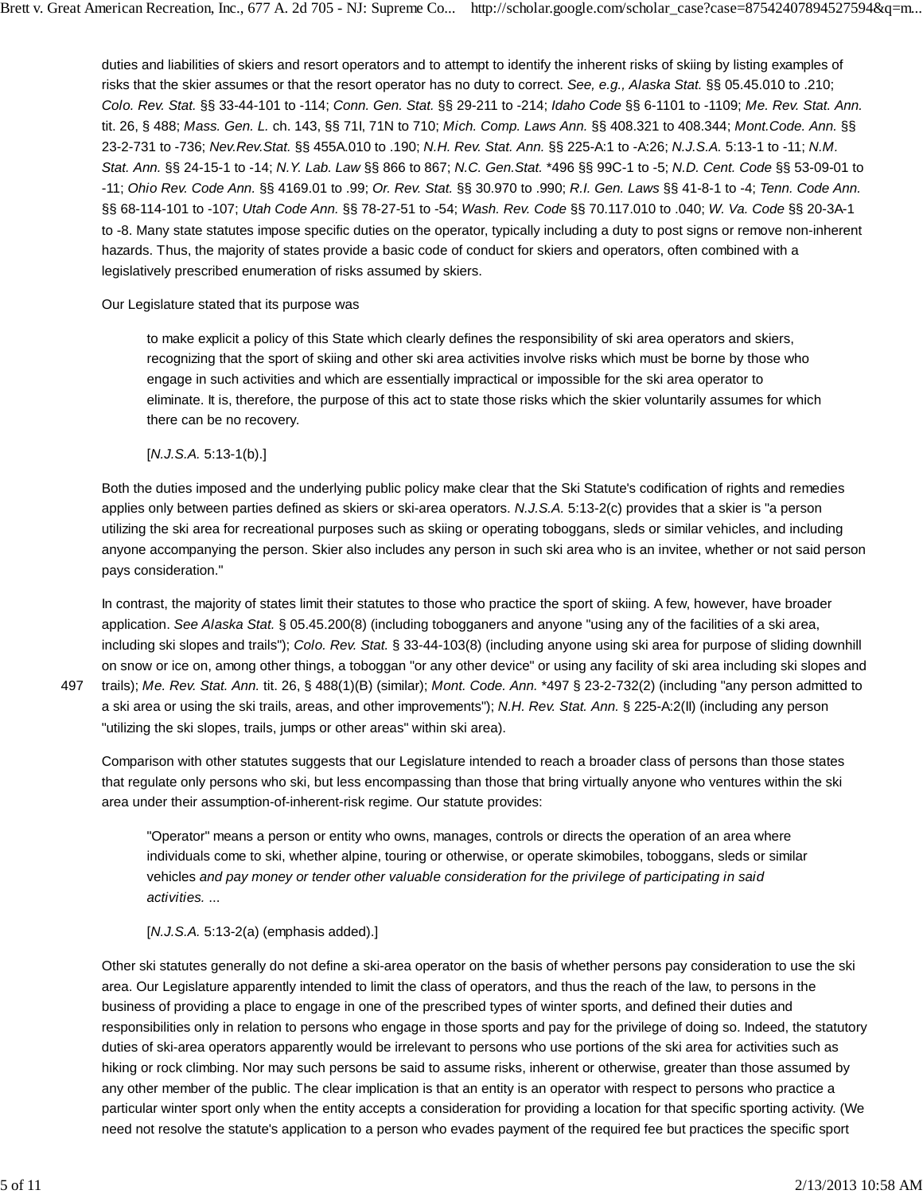duties and liabilities of skiers and resort operators and to attempt to identify the inherent risks of skiing by listing examples of risks that the skier assumes or that the resort operator has no duty to correct. *See, e.g., Alaska Stat.* §§ 05.45.010 to .210; *Colo. Rev. Stat.* §§ 33-44-101 to -114; *Conn. Gen. Stat.* §§ 29-211 to -214; *Idaho Code* §§ 6-1101 to -1109; *Me. Rev. Stat. Ann.* tit. 26, § 488; *Mass. Gen. L.* ch. 143, §§ 71I, 71N to 710; *Mich. Comp. Laws Ann.* §§ 408.321 to 408.344; *Mont.Code. Ann.* §§ 23-2-731 to -736; *Nev.Rev.Stat.* §§ 455A.010 to .190; *N.H. Rev. Stat. Ann.* §§ 225-A:1 to -A:26; *N.J.S.A.* 5:13-1 to -11; *N.M. Stat. Ann.* §§ 24-15-1 to -14; *N.Y. Lab. Law* §§ 866 to 867; *N.C. Gen.Stat.* \*496 §§ 99C-1 to -5; *N.D. Cent. Code* §§ 53-09-01 to -11; *Ohio Rev. Code Ann.* §§ 4169.01 to .99; *Or. Rev. Stat.* §§ 30.970 to .990; *R.I. Gen. Laws* §§ 41-8-1 to -4; *Tenn. Code Ann.* §§ 68-114-101 to -107; *Utah Code Ann.* §§ 78-27-51 to -54; *Wash. Rev. Code* §§ 70.117.010 to .040; *W. Va. Code* §§ 20-3A-1 to -8. Many state statutes impose specific duties on the operator, typically including a duty to post signs or remove non-inherent hazards. Thus, the majority of states provide a basic code of conduct for skiers and operators, often combined with a legislatively prescribed enumeration of risks assumed by skiers.

#### Our Legislature stated that its purpose was

to make explicit a policy of this State which clearly defines the responsibility of ski area operators and skiers, recognizing that the sport of skiing and other ski area activities involve risks which must be borne by those who engage in such activities and which are essentially impractical or impossible for the ski area operator to eliminate. It is, therefore, the purpose of this act to state those risks which the skier voluntarily assumes for which there can be no recovery.

#### [*N.J.S.A.* 5:13-1(b).]

Both the duties imposed and the underlying public policy make clear that the Ski Statute's codification of rights and remedies applies only between parties defined as skiers or ski-area operators. *N.J.S.A.* 5:13-2(c) provides that a skier is "a person utilizing the ski area for recreational purposes such as skiing or operating toboggans, sleds or similar vehicles, and including anyone accompanying the person. Skier also includes any person in such ski area who is an invitee, whether or not said person pays consideration."

In contrast, the majority of states limit their statutes to those who practice the sport of skiing. A few, however, have broader application. *See Alaska Stat.* § 05.45.200(8) (including tobogganers and anyone "using any of the facilities of a ski area, including ski slopes and trails"); *Colo. Rev. Stat.* § 33-44-103(8) (including anyone using ski area for purpose of sliding downhill on snow or ice on, among other things, a toboggan "or any other device" or using any facility of ski area including ski slopes and trails); *Me. Rev. Stat. Ann.* tit. 26, § 488(1)(B) (similar); *Mont. Code. Ann.* \*497 § 23-2-732(2) (including "any person admitted to a ski area or using the ski trails, areas, and other improvements"); *N.H. Rev. Stat. Ann.* § 225-A:2(II) (including any person "utilizing the ski slopes, trails, jumps or other areas" within ski area).

Comparison with other statutes suggests that our Legislature intended to reach a broader class of persons than those states that regulate only persons who ski, but less encompassing than those that bring virtually anyone who ventures within the ski area under their assumption-of-inherent-risk regime. Our statute provides:

"Operator" means a person or entity who owns, manages, controls or directs the operation of an area where individuals come to ski, whether alpine, touring or otherwise, or operate skimobiles, toboggans, sleds or similar vehicles *and pay money or tender other valuable consideration for the privilege of participating in said activities.* ...

[*N.J.S.A.* 5:13-2(a) (emphasis added).]

Other ski statutes generally do not define a ski-area operator on the basis of whether persons pay consideration to use the ski area. Our Legislature apparently intended to limit the class of operators, and thus the reach of the law, to persons in the business of providing a place to engage in one of the prescribed types of winter sports, and defined their duties and responsibilities only in relation to persons who engage in those sports and pay for the privilege of doing so. Indeed, the statutory duties of ski-area operators apparently would be irrelevant to persons who use portions of the ski area for activities such as hiking or rock climbing. Nor may such persons be said to assume risks, inherent or otherwise, greater than those assumed by any other member of the public. The clear implication is that an entity is an operator with respect to persons who practice a particular winter sport only when the entity accepts a consideration for providing a location for that specific sporting activity. (We need not resolve the statute's application to a person who evades payment of the required fee but practices the specific sport

497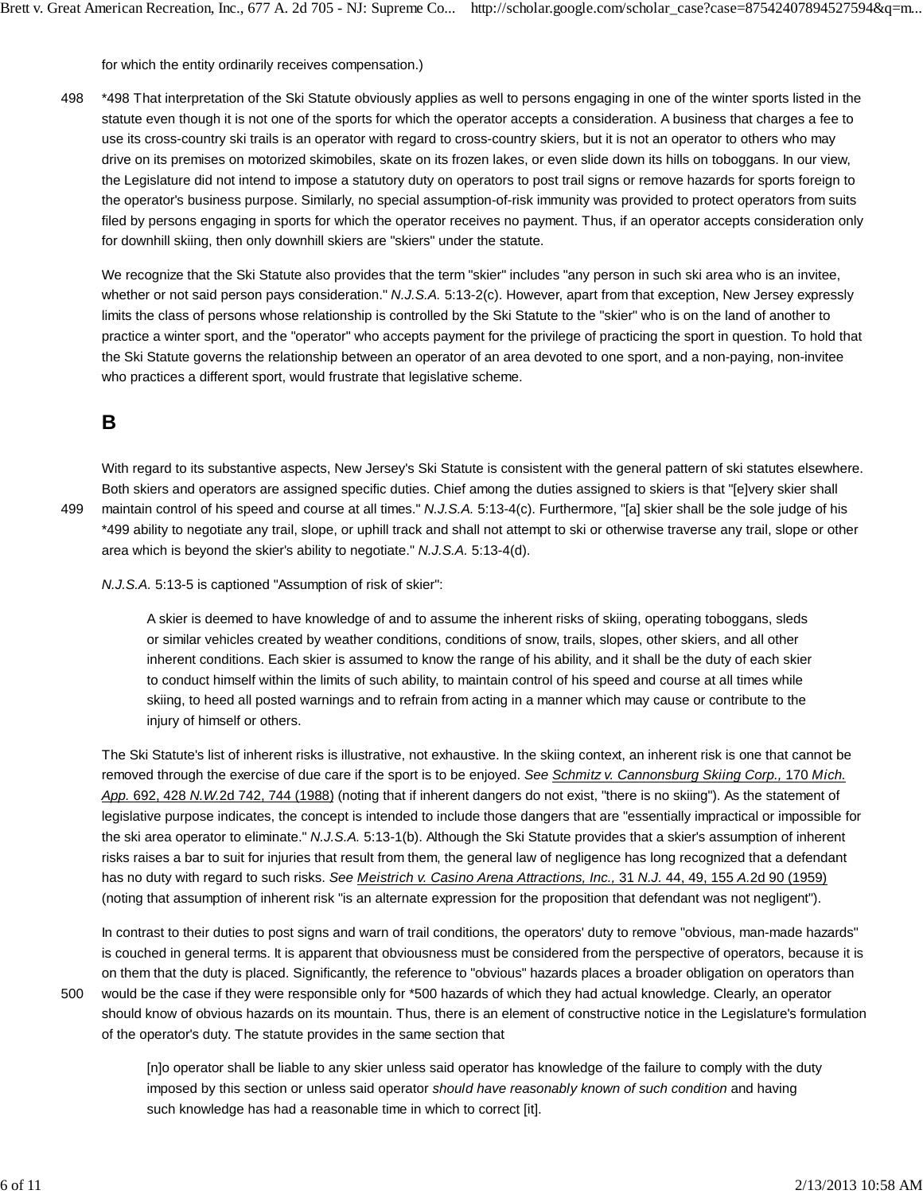for which the entity ordinarily receives compensation.)

\*498 That interpretation of the Ski Statute obviously applies as well to persons engaging in one of the winter sports listed in the statute even though it is not one of the sports for which the operator accepts a consideration. A business that charges a fee to use its cross-country ski trails is an operator with regard to cross-country skiers, but it is not an operator to others who may drive on its premises on motorized skimobiles, skate on its frozen lakes, or even slide down its hills on toboggans. In our view, the Legislature did not intend to impose a statutory duty on operators to post trail signs or remove hazards for sports foreign to the operator's business purpose. Similarly, no special assumption-of-risk immunity was provided to protect operators from suits filed by persons engaging in sports for which the operator receives no payment. Thus, if an operator accepts consideration only for downhill skiing, then only downhill skiers are "skiers" under the statute. 498

We recognize that the Ski Statute also provides that the term "skier" includes "any person in such ski area who is an invitee, whether or not said person pays consideration." *N.J.S.A.* 5:13-2(c). However, apart from that exception, New Jersey expressly limits the class of persons whose relationship is controlled by the Ski Statute to the "skier" who is on the land of another to practice a winter sport, and the "operator" who accepts payment for the privilege of practicing the sport in question. To hold that the Ski Statute governs the relationship between an operator of an area devoted to one sport, and a non-paying, non-invitee who practices a different sport, would frustrate that legislative scheme.

## **B**

499

With regard to its substantive aspects, New Jersey's Ski Statute is consistent with the general pattern of ski statutes elsewhere. Both skiers and operators are assigned specific duties. Chief among the duties assigned to skiers is that "[e]very skier shall maintain control of his speed and course at all times." *N.J.S.A.* 5:13-4(c). Furthermore, "[a] skier shall be the sole judge of his \*499 ability to negotiate any trail, slope, or uphill track and shall not attempt to ski or otherwise traverse any trail, slope or other area which is beyond the skier's ability to negotiate." *N.J.S.A.* 5:13-4(d).

*N.J.S.A.* 5:13-5 is captioned "Assumption of risk of skier":

A skier is deemed to have knowledge of and to assume the inherent risks of skiing, operating toboggans, sleds or similar vehicles created by weather conditions, conditions of snow, trails, slopes, other skiers, and all other inherent conditions. Each skier is assumed to know the range of his ability, and it shall be the duty of each skier to conduct himself within the limits of such ability, to maintain control of his speed and course at all times while skiing, to heed all posted warnings and to refrain from acting in a manner which may cause or contribute to the injury of himself or others.

The Ski Statute's list of inherent risks is illustrative, not exhaustive. In the skiing context, an inherent risk is one that cannot be removed through the exercise of due care if the sport is to be enjoyed. *See Schmitz v. Cannonsburg Skiing Corp.,* 170 *Mich. App.* 692, 428 *N.W.*2d 742, 744 (1988) (noting that if inherent dangers do not exist, "there is no skiing"). As the statement of legislative purpose indicates, the concept is intended to include those dangers that are "essentially impractical or impossible for the ski area operator to eliminate." *N.J.S.A.* 5:13-1(b). Although the Ski Statute provides that a skier's assumption of inherent risks raises a bar to suit for injuries that result from them, the general law of negligence has long recognized that a defendant has no duty with regard to such risks. *See Meistrich v. Casino Arena Attractions, Inc.,* 31 *N.J.* 44, 49, 155 *A.*2d 90 (1959) (noting that assumption of inherent risk "is an alternate expression for the proposition that defendant was not negligent").

In contrast to their duties to post signs and warn of trail conditions, the operators' duty to remove "obvious, man-made hazards" is couched in general terms. It is apparent that obviousness must be considered from the perspective of operators, because it is on them that the duty is placed. Significantly, the reference to "obvious" hazards places a broader obligation on operators than would be the case if they were responsible only for \*500 hazards of which they had actual knowledge. Clearly, an operator should know of obvious hazards on its mountain. Thus, there is an element of constructive notice in the Legislature's formulation of the operator's duty. The statute provides in the same section that

[n]o operator shall be liable to any skier unless said operator has knowledge of the failure to comply with the duty imposed by this section or unless said operator *should have reasonably known of such condition* and having such knowledge has had a reasonable time in which to correct [it].

500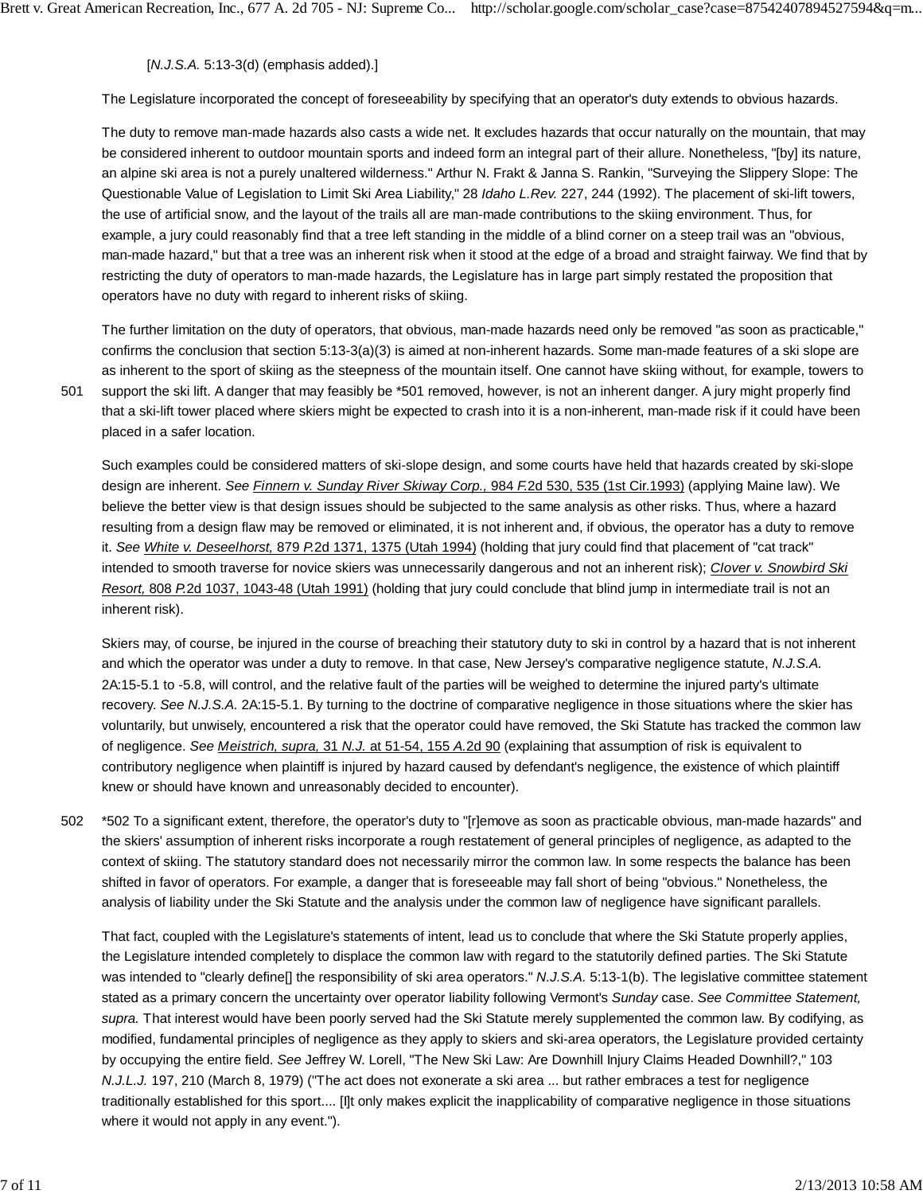[*N.J.S.A.* 5:13-3(d) (emphasis added).]

The Legislature incorporated the concept of foreseeability by specifying that an operator's duty extends to obvious hazards.

The duty to remove man-made hazards also casts a wide net. It excludes hazards that occur naturally on the mountain, that may be considered inherent to outdoor mountain sports and indeed form an integral part of their allure. Nonetheless, "[by] its nature, an alpine ski area is not a purely unaltered wilderness." Arthur N. Frakt & Janna S. Rankin, "Surveying the Slippery Slope: The Questionable Value of Legislation to Limit Ski Area Liability," 28 *Idaho L.Rev.* 227, 244 (1992). The placement of ski-lift towers, the use of artificial snow, and the layout of the trails all are man-made contributions to the skiing environment. Thus, for example, a jury could reasonably find that a tree left standing in the middle of a blind corner on a steep trail was an "obvious, man-made hazard," but that a tree was an inherent risk when it stood at the edge of a broad and straight fairway. We find that by restricting the duty of operators to man-made hazards, the Legislature has in large part simply restated the proposition that operators have no duty with regard to inherent risks of skiing.

The further limitation on the duty of operators, that obvious, man-made hazards need only be removed "as soon as practicable," confirms the conclusion that section 5:13-3(a)(3) is aimed at non-inherent hazards. Some man-made features of a ski slope are as inherent to the sport of skiing as the steepness of the mountain itself. One cannot have skiing without, for example, towers to support the ski lift. A danger that may feasibly be \*501 removed, however, is not an inherent danger. A jury might properly find that a ski-lift tower placed where skiers might be expected to crash into it is a non-inherent, man-made risk if it could have been placed in a safer location.

Such examples could be considered matters of ski-slope design, and some courts have held that hazards created by ski-slope design are inherent. *See Finnern v. Sunday River Skiway Corp.,* 984 *F.*2d 530, 535 (1st Cir.1993) (applying Maine law). We believe the better view is that design issues should be subjected to the same analysis as other risks. Thus, where a hazard resulting from a design flaw may be removed or eliminated, it is not inherent and, if obvious, the operator has a duty to remove it. *See White v. Deseelhorst,* 879 *P.*2d 1371, 1375 (Utah 1994) (holding that jury could find that placement of "cat track" intended to smooth traverse for novice skiers was unnecessarily dangerous and not an inherent risk); *Clover v. Snowbird Ski Resort,* 808 *P.*2d 1037, 1043-48 (Utah 1991) (holding that jury could conclude that blind jump in intermediate trail is not an inherent risk).

Skiers may, of course, be injured in the course of breaching their statutory duty to ski in control by a hazard that is not inherent and which the operator was under a duty to remove. In that case, New Jersey's comparative negligence statute, *N.J.S.A.* 2A:15-5.1 to -5.8, will control, and the relative fault of the parties will be weighed to determine the injured party's ultimate recovery. *See N.J.S.A.* 2A:15-5.1. By turning to the doctrine of comparative negligence in those situations where the skier has voluntarily, but unwisely, encountered a risk that the operator could have removed, the Ski Statute has tracked the common law of negligence. *See Meistrich, supra,* 31 *N.J.* at 51-54, 155 *A.*2d 90 (explaining that assumption of risk is equivalent to contributory negligence when plaintiff is injured by hazard caused by defendant's negligence, the existence of which plaintiff knew or should have known and unreasonably decided to encounter).

\*502 To a significant extent, therefore, the operator's duty to "[r]emove as soon as practicable obvious, man-made hazards" and the skiers' assumption of inherent risks incorporate a rough restatement of general principles of negligence, as adapted to the context of skiing. The statutory standard does not necessarily mirror the common law. In some respects the balance has been shifted in favor of operators. For example, a danger that is foreseeable may fall short of being "obvious." Nonetheless, the analysis of liability under the Ski Statute and the analysis under the common law of negligence have significant parallels. 502

That fact, coupled with the Legislature's statements of intent, lead us to conclude that where the Ski Statute properly applies, the Legislature intended completely to displace the common law with regard to the statutorily defined parties. The Ski Statute was intended to "clearly define<sup>[]</sup> the responsibility of ski area operators." *N.J.S.A.* 5:13-1(b). The legislative committee statement stated as a primary concern the uncertainty over operator liability following Vermont's *Sunday* case. *See Committee Statement, supra.* That interest would have been poorly served had the Ski Statute merely supplemented the common law. By codifying, as modified, fundamental principles of negligence as they apply to skiers and ski-area operators, the Legislature provided certainty by occupying the entire field. *See* Jeffrey W. Lorell, "The New Ski Law: Are Downhill Injury Claims Headed Downhill?," 103 *N.J.L.J.* 197, 210 (March 8, 1979) ("The act does not exonerate a ski area ... but rather embraces a test for negligence traditionally established for this sport.... [I]t only makes explicit the inapplicability of comparative negligence in those situations where it would not apply in any event.").

501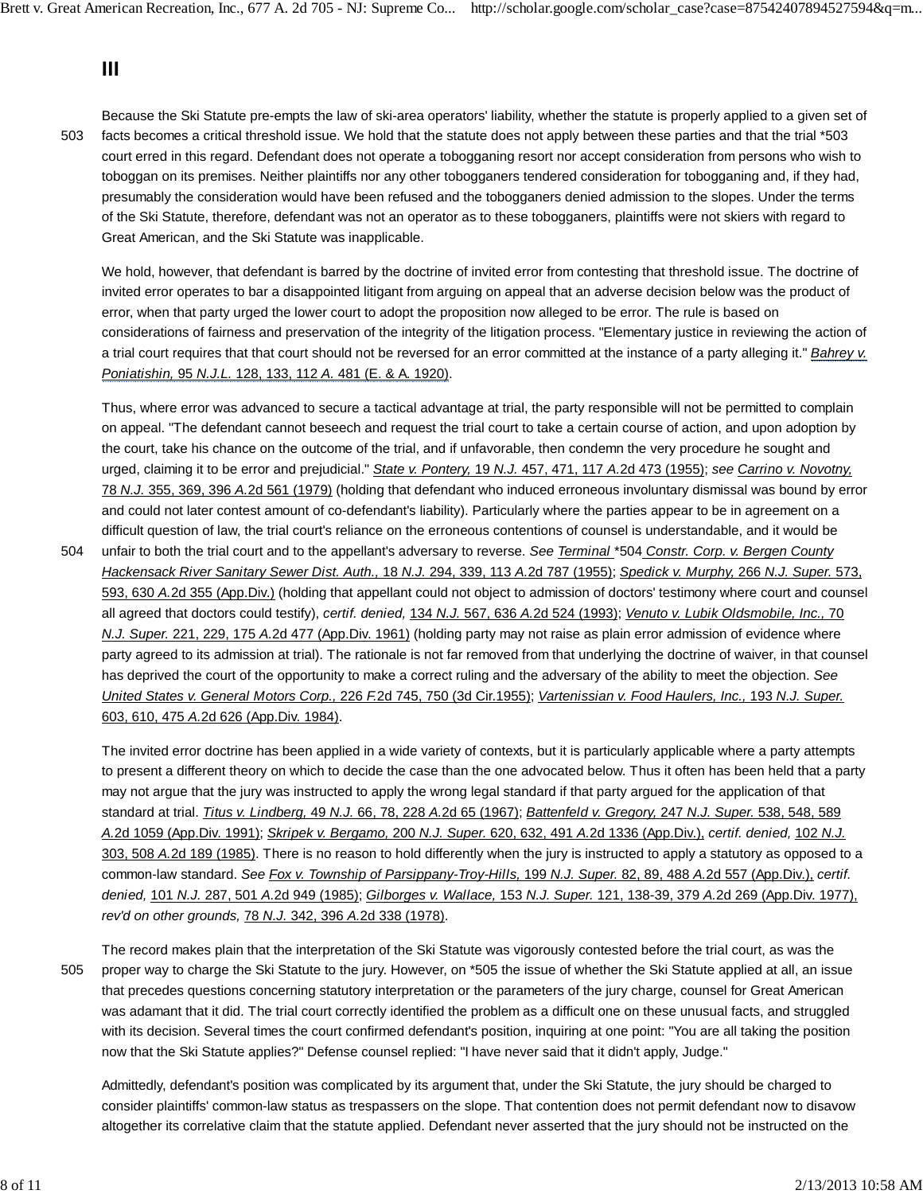# **III**

503

Because the Ski Statute pre-empts the law of ski-area operators' liability, whether the statute is properly applied to a given set of facts becomes a critical threshold issue. We hold that the statute does not apply between these parties and that the trial \*503 court erred in this regard. Defendant does not operate a tobogganing resort nor accept consideration from persons who wish to toboggan on its premises. Neither plaintiffs nor any other tobogganers tendered consideration for tobogganing and, if they had, presumably the consideration would have been refused and the tobogganers denied admission to the slopes. Under the terms of the Ski Statute, therefore, defendant was not an operator as to these tobogganers, plaintiffs were not skiers with regard to Great American, and the Ski Statute was inapplicable.

We hold, however, that defendant is barred by the doctrine of invited error from contesting that threshold issue. The doctrine of invited error operates to bar a disappointed litigant from arguing on appeal that an adverse decision below was the product of error, when that party urged the lower court to adopt the proposition now alleged to be error. The rule is based on considerations of fairness and preservation of the integrity of the litigation process. "Elementary justice in reviewing the action of a trial court requires that that court should not be reversed for an error committed at the instance of a party alleging it." *Bahrey v. Poniatishin,* 95 *N.J.L.* 128, 133, 112 *A.* 481 (E. & A. 1920).

Thus, where error was advanced to secure a tactical advantage at trial, the party responsible will not be permitted to complain on appeal. "The defendant cannot beseech and request the trial court to take a certain course of action, and upon adoption by the court, take his chance on the outcome of the trial, and if unfavorable, then condemn the very procedure he sought and urged, claiming it to be error and prejudicial." *State v. Pontery,* 19 *N.J.* 457, 471, 117 *A.*2d 473 (1955); *see Carrino v. Novotny,* 78 *N.J.* 355, 369, 396 *A.*2d 561 (1979) (holding that defendant who induced erroneous involuntary dismissal was bound by error and could not later contest amount of co-defendant's liability). Particularly where the parties appear to be in agreement on a difficult question of law, the trial court's reliance on the erroneous contentions of counsel is understandable, and it would be

unfair to both the trial court and to the appellant's adversary to reverse. *See Terminal* \*504 *Constr. Corp. v. Bergen County Hackensack River Sanitary Sewer Dist. Auth.,* 18 *N.J.* 294, 339, 113 *A.*2d 787 (1955); *Spedick v. Murphy,* 266 *N.J. Super.* 573, 593, 630 *A.*2d 355 (App.Div.) (holding that appellant could not object to admission of doctors' testimony where court and counsel all agreed that doctors could testify), *certif. denied,* 134 *N.J.* 567, 636 *A.*2d 524 (1993); *Venuto v. Lubik Oldsmobile, Inc.,* 70 *N.J. Super.* 221, 229, 175 *A.*2d 477 (App.Div. 1961) (holding party may not raise as plain error admission of evidence where party agreed to its admission at trial). The rationale is not far removed from that underlying the doctrine of waiver, in that counsel has deprived the court of the opportunity to make a correct ruling and the adversary of the ability to meet the objection. *See United States v. General Motors Corp.,* 226 *F.*2d 745, 750 (3d Cir.1955); *Vartenissian v. Food Haulers, Inc.,* 193 *N.J. Super.* 603, 610, 475 *A.*2d 626 (App.Div. 1984). 504

The invited error doctrine has been applied in a wide variety of contexts, but it is particularly applicable where a party attempts to present a different theory on which to decide the case than the one advocated below. Thus it often has been held that a party may not argue that the jury was instructed to apply the wrong legal standard if that party argued for the application of that standard at trial. *Titus v. Lindberg,* 49 *N.J.* 66, 78, 228 *A.*2d 65 (1967); *Battenfeld v. Gregory,* 247 *N.J. Super.* 538, 548, 589 *A.*2d 1059 (App.Div. 1991); *Skripek v. Bergamo,* 200 *N.J. Super.* 620, 632, 491 *A.*2d 1336 (App.Div.), *certif. denied,* 102 *N.J.* 303, 508 *A.*2d 189 (1985). There is no reason to hold differently when the jury is instructed to apply a statutory as opposed to a common-law standard. *See Fox v. Township of Parsippany-Troy-Hills,* 199 *N.J. Super.* 82, 89, 488 *A.*2d 557 (App.Div.), *certif. denied,* 101 *N.J.* 287, 501 *A.*2d 949 (1985); *Gilborges v. Wallace,* 153 *N.J. Super.* 121, 138-39, 379 *A.*2d 269 (App.Div. 1977), *rev'd on other grounds,* 78 *N.J.* 342, 396 *A.*2d 338 (1978).

505

The record makes plain that the interpretation of the Ski Statute was vigorously contested before the trial court, as was the proper way to charge the Ski Statute to the jury. However, on \*505 the issue of whether the Ski Statute applied at all, an issue that precedes questions concerning statutory interpretation or the parameters of the jury charge, counsel for Great American was adamant that it did. The trial court correctly identified the problem as a difficult one on these unusual facts, and struggled with its decision. Several times the court confirmed defendant's position, inquiring at one point: "You are all taking the position now that the Ski Statute applies?" Defense counsel replied: "I have never said that it didn't apply, Judge."

Admittedly, defendant's position was complicated by its argument that, under the Ski Statute, the jury should be charged to consider plaintiffs' common-law status as trespassers on the slope. That contention does not permit defendant now to disavow altogether its correlative claim that the statute applied. Defendant never asserted that the jury should not be instructed on the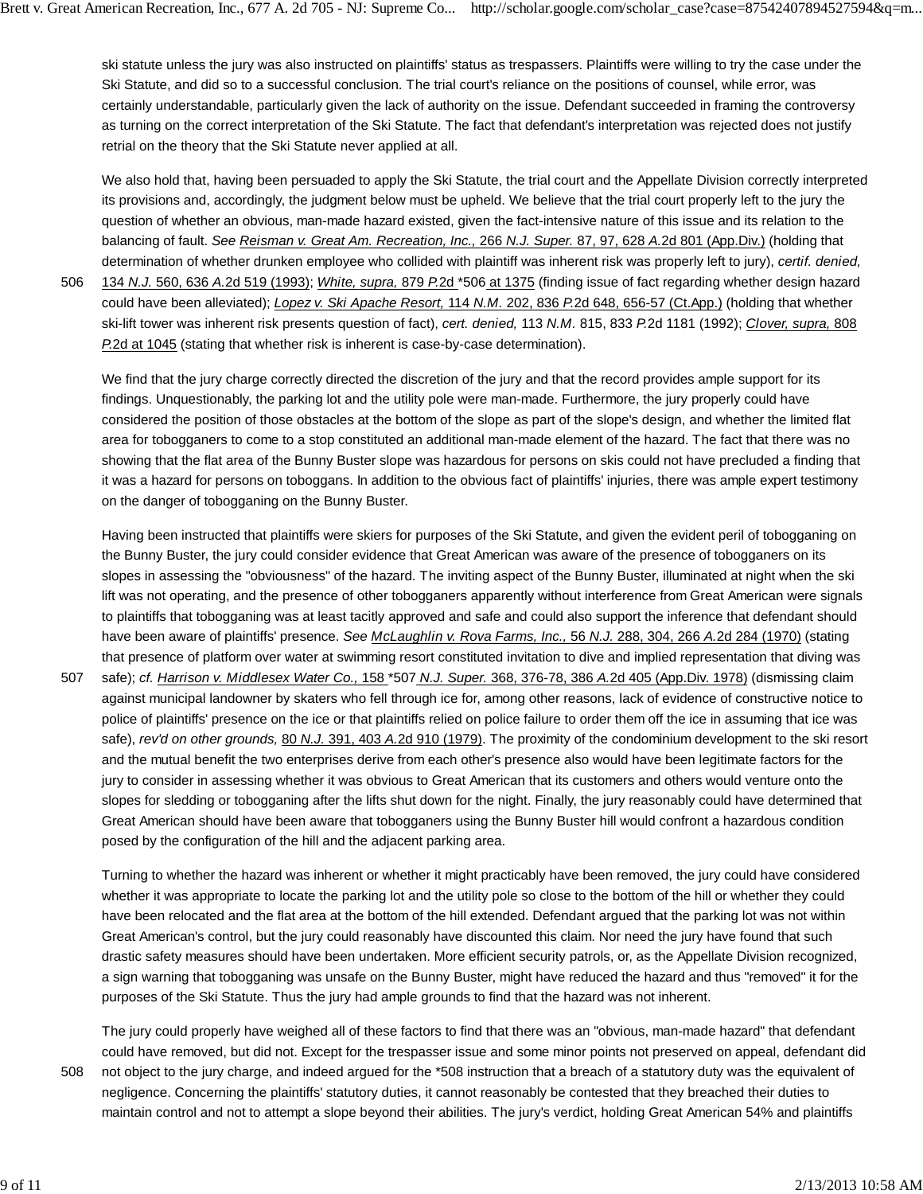ski statute unless the jury was also instructed on plaintiffs' status as trespassers. Plaintiffs were willing to try the case under the Ski Statute, and did so to a successful conclusion. The trial court's reliance on the positions of counsel, while error, was certainly understandable, particularly given the lack of authority on the issue. Defendant succeeded in framing the controversy as turning on the correct interpretation of the Ski Statute. The fact that defendant's interpretation was rejected does not justify retrial on the theory that the Ski Statute never applied at all.

We also hold that, having been persuaded to apply the Ski Statute, the trial court and the Appellate Division correctly interpreted its provisions and, accordingly, the judgment below must be upheld. We believe that the trial court properly left to the jury the question of whether an obvious, man-made hazard existed, given the fact-intensive nature of this issue and its relation to the balancing of fault. *See Reisman v. Great Am. Recreation, Inc.,* 266 *N.J. Super.* 87, 97, 628 *A.*2d 801 (App.Div.) (holding that determination of whether drunken employee who collided with plaintiff was inherent risk was properly left to jury), *certif. denied,*

506

134 *N.J.* 560, 636 *A.*2d 519 (1993); *White, supra,* 879 *P.*2d \*506 at 1375 (finding issue of fact regarding whether design hazard could have been alleviated); *Lopez v. Ski Apache Resort,* 114 *N.M.* 202, 836 *P.*2d 648, 656-57 (Ct.App.) (holding that whether ski-lift tower was inherent risk presents question of fact), *cert. denied,* 113 *N.M.* 815, 833 *P.*2d 1181 (1992); *Clover, supra,* 808 *P.*2d at 1045 (stating that whether risk is inherent is case-by-case determination).

We find that the jury charge correctly directed the discretion of the jury and that the record provides ample support for its findings. Unquestionably, the parking lot and the utility pole were man-made. Furthermore, the jury properly could have considered the position of those obstacles at the bottom of the slope as part of the slope's design, and whether the limited flat area for tobogganers to come to a stop constituted an additional man-made element of the hazard. The fact that there was no showing that the flat area of the Bunny Buster slope was hazardous for persons on skis could not have precluded a finding that it was a hazard for persons on toboggans. In addition to the obvious fact of plaintiffs' injuries, there was ample expert testimony on the danger of tobogganing on the Bunny Buster.

Having been instructed that plaintiffs were skiers for purposes of the Ski Statute, and given the evident peril of tobogganing on the Bunny Buster, the jury could consider evidence that Great American was aware of the presence of tobogganers on its slopes in assessing the "obviousness" of the hazard. The inviting aspect of the Bunny Buster, illuminated at night when the ski lift was not operating, and the presence of other tobogganers apparently without interference from Great American were signals to plaintiffs that tobogganing was at least tacitly approved and safe and could also support the inference that defendant should have been aware of plaintiffs' presence. *See McLaughlin v. Rova Farms, Inc.,* 56 *N.J.* 288, 304, 266 *A.*2d 284 (1970) (stating that presence of platform over water at swimming resort constituted invitation to dive and implied representation that diving was

safe); *cf. Harrison v. Middlesex Water Co.,* 158 \*507 *N.J. Super.* 368, 376-78, 386 *A.*2d 405 (App.Div. 1978) (dismissing claim against municipal landowner by skaters who fell through ice for, among other reasons, lack of evidence of constructive notice to police of plaintiffs' presence on the ice or that plaintiffs relied on police failure to order them off the ice in assuming that ice was safe), *rev'd on other grounds,* 80 *N.J.* 391, 403 *A.*2d 910 (1979). The proximity of the condominium development to the ski resort and the mutual benefit the two enterprises derive from each other's presence also would have been legitimate factors for the jury to consider in assessing whether it was obvious to Great American that its customers and others would venture onto the slopes for sledding or tobogganing after the lifts shut down for the night. Finally, the jury reasonably could have determined that Great American should have been aware that tobogganers using the Bunny Buster hill would confront a hazardous condition posed by the configuration of the hill and the adjacent parking area. 507

Turning to whether the hazard was inherent or whether it might practicably have been removed, the jury could have considered whether it was appropriate to locate the parking lot and the utility pole so close to the bottom of the hill or whether they could have been relocated and the flat area at the bottom of the hill extended. Defendant argued that the parking lot was not within Great American's control, but the jury could reasonably have discounted this claim. Nor need the jury have found that such drastic safety measures should have been undertaken. More efficient security patrols, or, as the Appellate Division recognized, a sign warning that tobogganing was unsafe on the Bunny Buster, might have reduced the hazard and thus "removed" it for the purposes of the Ski Statute. Thus the jury had ample grounds to find that the hazard was not inherent.

The jury could properly have weighed all of these factors to find that there was an "obvious, man-made hazard" that defendant could have removed, but did not. Except for the trespasser issue and some minor points not preserved on appeal, defendant did not object to the jury charge, and indeed argued for the \*508 instruction that a breach of a statutory duty was the equivalent of negligence. Concerning the plaintiffs' statutory duties, it cannot reasonably be contested that they breached their duties to maintain control and not to attempt a slope beyond their abilities. The jury's verdict, holding Great American 54% and plaintiffs 508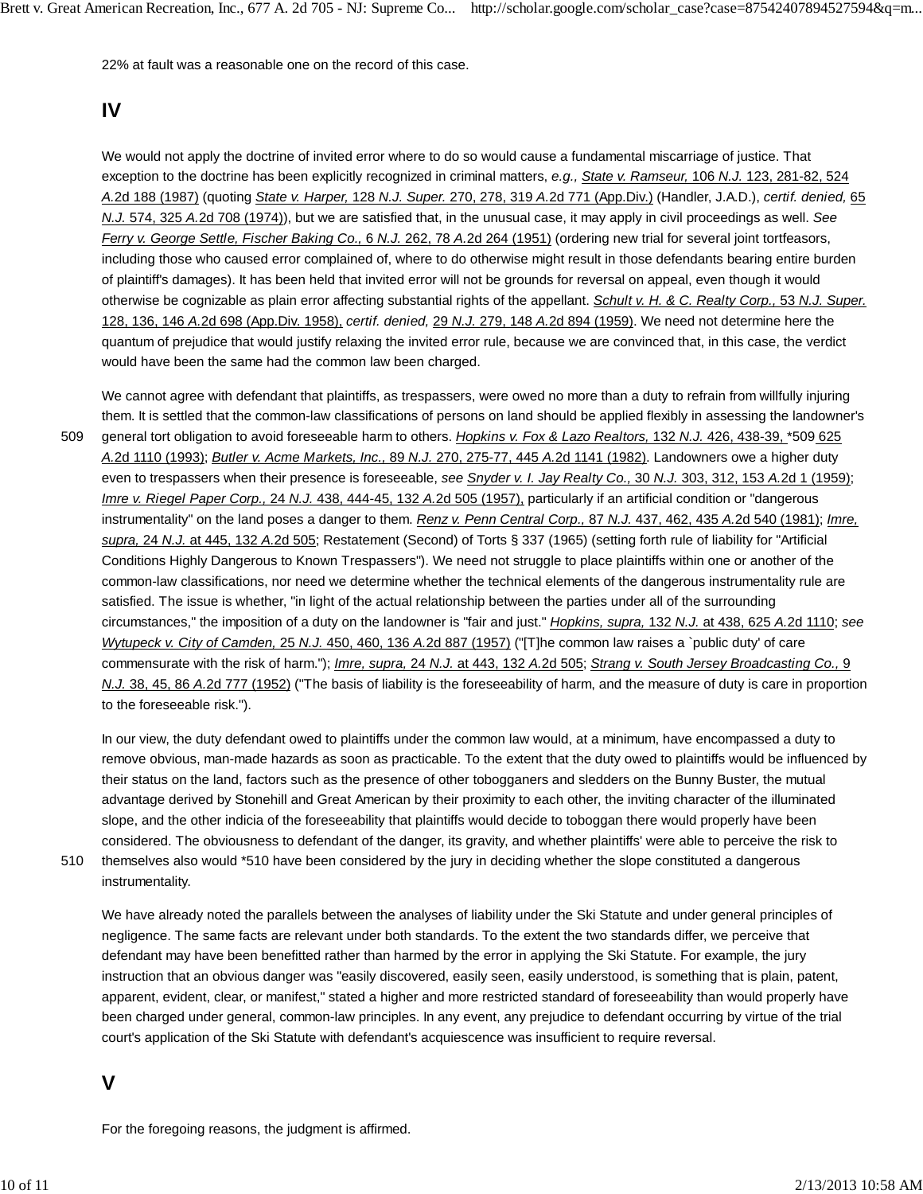22% at fault was a reasonable one on the record of this case.

## **IV**

We would not apply the doctrine of invited error where to do so would cause a fundamental miscarriage of justice. That exception to the doctrine has been explicitly recognized in criminal matters, *e.g., State v. Ramseur,* 106 *N.J.* 123, 281-82, 524 *A.*2d 188 (1987) (quoting *State v. Harper,* 128 *N.J. Super.* 270, 278, 319 *A.*2d 771 (App.Div.) (Handler, J.A.D.), *certif. denied,* 65 *N.J.* 574, 325 *A.*2d 708 (1974)), but we are satisfied that, in the unusual case, it may apply in civil proceedings as well. *See Ferry v. George Settle, Fischer Baking Co.,* 6 *N.J.* 262, 78 *A.*2d 264 (1951) (ordering new trial for several joint tortfeasors, including those who caused error complained of, where to do otherwise might result in those defendants bearing entire burden of plaintiff's damages). It has been held that invited error will not be grounds for reversal on appeal, even though it would otherwise be cognizable as plain error affecting substantial rights of the appellant. *Schult v. H. & C. Realty Corp.,* 53 *N.J. Super.* 128, 136, 146 *A.*2d 698 (App.Div. 1958), *certif. denied,* 29 *N.J.* 279, 148 *A.*2d 894 (1959). We need not determine here the quantum of prejudice that would justify relaxing the invited error rule, because we are convinced that, in this case, the verdict would have been the same had the common law been charged.

We cannot agree with defendant that plaintiffs, as trespassers, were owed no more than a duty to refrain from willfully injuring them. It is settled that the common-law classifications of persons on land should be applied flexibly in assessing the landowner's general tort obligation to avoid foreseeable harm to others. *Hopkins v. Fox & Lazo Realtors,* 132 *N.J.* 426, 438-39, \*509 625 *A.*2d 1110 (1993); *Butler v. Acme Markets, Inc.,* 89 *N.J.* 270, 275-77, 445 *A.*2d 1141 (1982). Landowners owe a higher duty even to trespassers when their presence is foreseeable, *see Snyder v. I. Jay Realty Co.,* 30 *N.J.* 303, 312, 153 *A.*2d 1 (1959); *Imre v. Riegel Paper Corp.,* 24 *N.J.* 438, 444-45, 132 *A.*2d 505 (1957), particularly if an artificial condition or "dangerous instrumentality" on the land poses a danger to them. *Renz v. Penn Central Corp.,* 87 *N.J.* 437, 462, 435 *A.*2d 540 (1981); *Imre, supra,* 24 *N.J.* at 445, 132 *A.*2d 505; Restatement (Second) of Torts § 337 (1965) (setting forth rule of liability for "Artificial Conditions Highly Dangerous to Known Trespassers"). We need not struggle to place plaintiffs within one or another of the common-law classifications, nor need we determine whether the technical elements of the dangerous instrumentality rule are satisfied. The issue is whether, "in light of the actual relationship between the parties under all of the surrounding circumstances," the imposition of a duty on the landowner is "fair and just." *Hopkins, supra,* 132 *N.J.* at 438, 625 *A.*2d 1110; *see Wytupeck v. City of Camden,* 25 *N.J.* 450, 460, 136 *A.*2d 887 (1957) ("[T]he common law raises a `public duty' of care commensurate with the risk of harm."); *Imre, supra,* 24 *N.J.* at 443, 132 *A.*2d 505; *Strang v. South Jersey Broadcasting Co.,* 9 *N.J.* 38, 45, 86 *A.*2d 777 (1952) ("The basis of liability is the foreseeability of harm, and the measure of duty is care in proportion to the foreseeable risk."). 509

In our view, the duty defendant owed to plaintiffs under the common law would, at a minimum, have encompassed a duty to remove obvious, man-made hazards as soon as practicable. To the extent that the duty owed to plaintiffs would be influenced by their status on the land, factors such as the presence of other tobogganers and sledders on the Bunny Buster, the mutual advantage derived by Stonehill and Great American by their proximity to each other, the inviting character of the illuminated slope, and the other indicia of the foreseeability that plaintiffs would decide to toboggan there would properly have been considered. The obviousness to defendant of the danger, its gravity, and whether plaintiffs' were able to perceive the risk to themselves also would \*510 have been considered by the jury in deciding whether the slope constituted a dangerous

instrumentality. 510

> We have already noted the parallels between the analyses of liability under the Ski Statute and under general principles of negligence. The same facts are relevant under both standards. To the extent the two standards differ, we perceive that defendant may have been benefitted rather than harmed by the error in applying the Ski Statute. For example, the jury instruction that an obvious danger was "easily discovered, easily seen, easily understood, is something that is plain, patent, apparent, evident, clear, or manifest," stated a higher and more restricted standard of foreseeability than would properly have been charged under general, common-law principles. In any event, any prejudice to defendant occurring by virtue of the trial court's application of the Ski Statute with defendant's acquiescence was insufficient to require reversal.

### **V**

For the foregoing reasons, the judgment is affirmed.